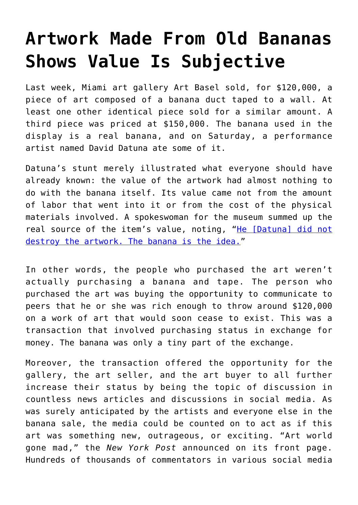## **[Artwork Made From Old Bananas](https://intellectualtakeout.org/2019/12/artwork-made-from-old-bananas-shows-value-is-subjective/) [Shows Value Is Subjective](https://intellectualtakeout.org/2019/12/artwork-made-from-old-bananas-shows-value-is-subjective/)**

Last week, Miami art gallery Art Basel sold, for \$120,000, a piece of art composed of a banana duct taped to a wall. At least one other identical piece sold for a similar amount. A third piece was priced at \$150,000. The banana used in the display is a real banana, and on Saturday, a performance artist named David Datuna ate some of it.

Datuna's stunt merely illustrated what everyone should have already known: the value of the artwork had almost nothing to do with the banana itself. Its value came not from the amount of labor that went into it or from the cost of the physical materials involved. A spokeswoman for the museum summed up the real source of the item's value, noting, "[He \[Datuna\] did not](https://www.foxnews.com/us/banana-duct-tape-miami-art-gallery-wall-taken-down-crowds-uncontrollable) [destroy the artwork. The banana is the idea.](https://www.foxnews.com/us/banana-duct-tape-miami-art-gallery-wall-taken-down-crowds-uncontrollable)"

In other words, the people who purchased the art weren't actually purchasing a banana and tape. The person who purchased the art was buying the opportunity to communicate to peers that he or she was rich enough to throw around \$120,000 on a work of art that would soon cease to exist. This was a transaction that involved purchasing status in exchange for money. The banana was only a tiny part of the exchange.

Moreover, the transaction offered the opportunity for the gallery, the art seller, and the art buyer to all further increase their status by being the topic of discussion in countless news articles and discussions in social media. As was surely anticipated by the artists and everyone else in the banana sale, the media could be counted on to act as if this art was something new, outrageous, or exciting. "Art world gone mad," the *New York Post* announced on its front page. Hundreds of thousands of commentators in various social media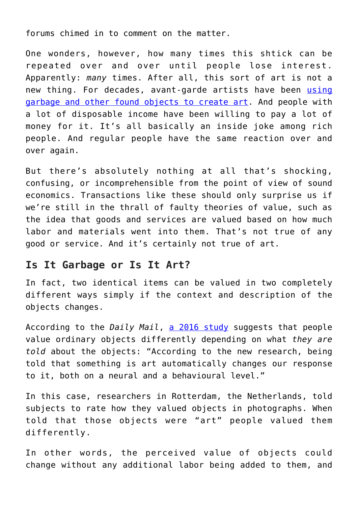forums chimed in to comment on the matter.

One wonders, however, how many times this shtick can be repeated over and over until people lose interest. Apparently: *many* times. After all, this sort of art is not a new thing. For decades, avant-garde artists have been [using](https://en.wikipedia.org/wiki/Found_object) [garbage and other found objects to create art.](https://en.wikipedia.org/wiki/Found_object) And people with a lot of disposable income have been willing to pay a lot of money for it. It's all basically an inside joke among rich people. And regular people have the same reaction over and over again.

But there's absolutely nothing at all that's shocking, confusing, or incomprehensible from the point of view of sound economics. Transactions like these should only surprise us if we're still in the thrall of faulty theories of value, such as the idea that goods and services are valued based on how much labor and materials went into them. That's not true of any good or service. And it's certainly not true of art.

## **Is It Garbage or Is It Art?**

In fact, two identical items can be valued in two completely different ways simply if the context and description of the objects changes.

According to the *Daily Mail*, [a 2016 study](http://www.dailymail.co.uk/sciencetech/article-3796752/Is-masterpiece-Scientists-reveal-ordinary-objects-labelled-art-differently-confirming-200-year-old-theory.html) suggests that people value ordinary objects differently depending on what *they are told* about the objects: "According to the new research, being told that something is art automatically changes our response to it, both on a neural and a behavioural level."

In this case, researchers in Rotterdam, the Netherlands, told subjects to rate how they valued objects in photographs. When told that those objects were "art" people valued them differently.

In other words, the perceived value of objects could change without any additional labor being added to them, and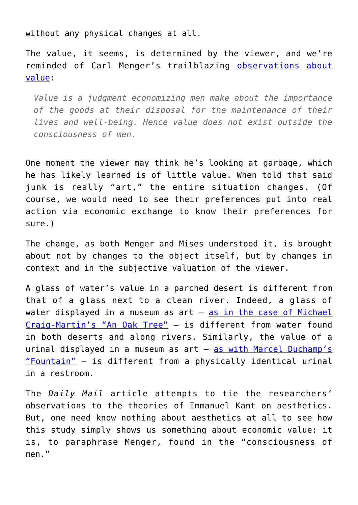without any physical changes at all.

The value, it seems, is determined by the viewer, and we're reminded of Carl Menger's trailblazing [observations about](https://mises.org/library/principles-economics) [value](https://mises.org/library/principles-economics):

*Value is a judgment economizing men make about the importance of the goods at their disposal for the maintenance of their lives and well-being. Hence value does not exist outside the consciousness of men.*

One moment the viewer may think he's looking at garbage, which he has likely learned is of little value. When told that said junk is really "art," the entire situation changes. (Of course, we would need to see their preferences put into real action via economic exchange to know their preferences for sure.)

The change, as both Menger and Mises understood it, is brought about not by changes to the object itself, but by changes in context and in the subjective valuation of the viewer.

A glass of water's value in a parched desert is different from that of a glass next to a clean river. Indeed, a glass of water displayed in a museum as art — [as in the case of Michael](https://en.wikipedia.org/wiki/An_Oak_Tree) [Craig-Martin's "An Oak Tree"](https://en.wikipedia.org/wiki/An_Oak_Tree) — is different from water found in both deserts and along rivers. Similarly, the value of a urinal displayed in a museum as art - [as with Marcel Duchamp's](https://en.wikipedia.org/wiki/Fountain_(Duchamp)) ["Fountain"](https://en.wikipedia.org/wiki/Fountain_(Duchamp)) — is different from a physically identical urinal in a restroom.

The *Daily Mail* article attempts to tie the researchers' observations to the theories of Immanuel Kant on aesthetics. But, one need know nothing about aesthetics at all to see how this study simply shows us something about economic value: it is, to paraphrase Menger, found in the "consciousness of men."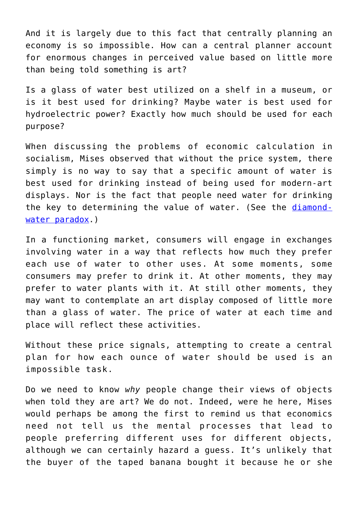And it is largely due to this fact that centrally planning an economy is so impossible. How can a central planner account for enormous changes in perceived value based on little more than being told something is art?

Is a glass of water best utilized on a shelf in a museum, or is it best used for drinking? Maybe water is best used for hydroelectric power? Exactly how much should be used for each purpose?

When discussing the problems of economic calculation in socialism, Mises observed that without the price system, there simply is no way to say that a specific amount of water is best used for drinking instead of being used for modern-art displays. Nor is the fact that people need water for drinking the key to determining the value of water. (See the [diamond](https://wiki.mises.org/wiki/Subjective_theory_of_value#Diamond-Water_Paradox)[water paradox](https://wiki.mises.org/wiki/Subjective_theory_of_value#Diamond-Water_Paradox).)

In a functioning market, consumers will engage in exchanges involving water in a way that reflects how much they prefer each use of water to other uses. At some moments, some consumers may prefer to drink it. At other moments, they may prefer to water plants with it. At still other moments, they may want to contemplate an art display composed of little more than a glass of water. The price of water at each time and place will reflect these activities.

Without these price signals, attempting to create a central plan for how each ounce of water should be used is an impossible task.

Do we need to know *why* people change their views of objects when told they are art? We do not. Indeed, were he here, Mises would perhaps be among the first to remind us that economics need not tell us the mental processes that lead to people preferring different uses for different objects, although we can certainly hazard a guess. It's unlikely that the buyer of the taped banana bought it because he or she